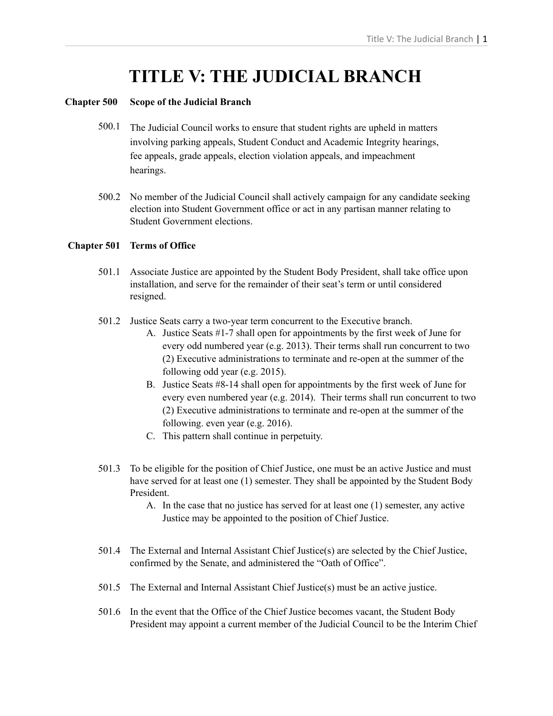# **TITLE V: THE JUDICIAL BRANCH**

# **Chapter 500 Scope of the Judicial Branch**

- 500.1 The Judicial Council works to ensure that student rights are upheld in matters involving parking appeals, Student Conduct and Academic Integrity hearings, fee appeals, grade appeals, election violation appeals, and impeachment hearings.
- 500.2 No member of the Judicial Council shall actively campaign for any candidate seeking election into Student Government office or act in any partisan manner relating to Student Government elections.

# **Chapter 501 Terms of Office**

- 501.1 Associate Justice are appointed by the Student Body President, shall take office upon installation, and serve for the remainder of their seat's term or until considered resigned.
- 501.2 Justice Seats carry a two-year term concurrent to the Executive branch.
	- A. Justice Seats #1-7 shall open for appointments by the first week of June for every odd numbered year (e.g. 2013). Their terms shall run concurrent to two (2) Executive administrations to terminate and re-open at the summer of the following odd year (e.g. 2015).
	- B. Justice Seats #8-14 shall open for appointments by the first week of June for every even numbered year (e.g. 2014). Their terms shall run concurrent to two (2) Executive administrations to terminate and re-open at the summer of the following. even year (e.g. 2016).
	- C. This pattern shall continue in perpetuity.
- 501.3 To be eligible for the position of Chief Justice, one must be an active Justice and must have served for at least one (1) semester. They shall be appointed by the Student Body President.
	- A. In the case that no justice has served for at least one (1) semester, any active Justice may be appointed to the position of Chief Justice.
- 501.4 The External and Internal Assistant Chief Justice(s) are selected by the Chief Justice, confirmed by the Senate, and administered the "Oath of Office".
- 501.5 The External and Internal Assistant Chief Justice(s) must be an active justice.
- 501.6 In the event that the Office of the Chief Justice becomes vacant, the Student Body President may appoint a current member of the Judicial Council to be the Interim Chief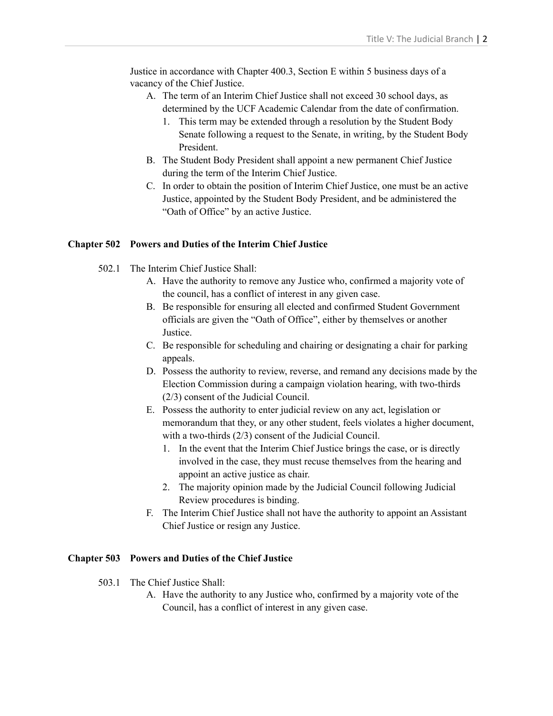Justice in accordance with Chapter 400.3, Section E within 5 business days of a vacancy of the Chief Justice.

- A. The term of an Interim Chief Justice shall not exceed 30 school days, as determined by the UCF Academic Calendar from the date of confirmation.
	- 1. This term may be extended through a resolution by the Student Body Senate following a request to the Senate, in writing, by the Student Body President.
- B. The Student Body President shall appoint a new permanent Chief Justice during the term of the Interim Chief Justice.
- C. In order to obtain the position of Interim Chief Justice, one must be an active Justice, appointed by the Student Body President, and be administered the "Oath of Office" by an active Justice.

## **Chapter 502 Powers and Duties of the Interim Chief Justice**

- 502.1 The Interim Chief Justice Shall:
	- A. Have the authority to remove any Justice who, confirmed a majority vote of the council, has a conflict of interest in any given case.
	- B. Be responsible for ensuring all elected and confirmed Student Government officials are given the "Oath of Office", either by themselves or another Justice.
	- C. Be responsible for scheduling and chairing or designating a chair for parking appeals.
	- D. Possess the authority to review, reverse, and remand any decisions made by the Election Commission during a campaign violation hearing, with two-thirds (2/3) consent of the Judicial Council.
	- E. Possess the authority to enter judicial review on any act, legislation or memorandum that they, or any other student, feels violates a higher document, with a two-thirds (2/3) consent of the Judicial Council.
		- 1. In the event that the Interim Chief Justice brings the case, or is directly involved in the case, they must recuse themselves from the hearing and appoint an active justice as chair.
		- 2. The majority opinion made by the Judicial Council following Judicial Review procedures is binding.
	- F. The Interim Chief Justice shall not have the authority to appoint an Assistant Chief Justice or resign any Justice.

## **Chapter 503 Powers and Duties of the Chief Justice**

- 503.1 The Chief Justice Shall:
	- A. Have the authority to any Justice who, confirmed by a majority vote of the Council, has a conflict of interest in any given case.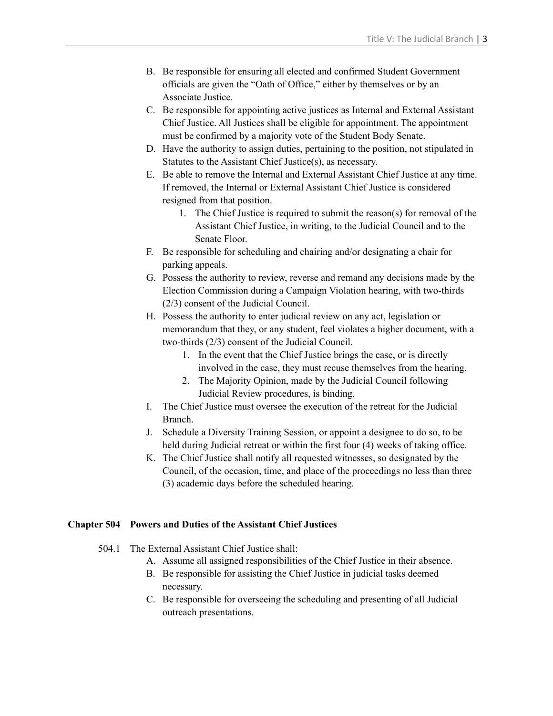- B. Be responsible for ensuring all elected and confirmed Student Government officials are given the "Oath of Office," either by themselves or by an Associate Justice.
- C. Be responsible for appointing active justices as Internal and External Assistant Chief Justice. All Justices shall be eligible for appointment. The appointment must be confirmed by a majority vote of the Student Body Senate.
- D. Have the authority to assign duties, pertaining to the position, not stipulated in Statutes to the Assistant Chief Justice(s), as necessary.
- E. Be able to remove the Internal and External Assistant Chief Justice at any time. If removed, the Internal or External Assistant Chief Justice is considered resigned from that position.
	- 1. The Chief Justice is required to submit the reason(s) for removal of the Assistant Chief Justice, in writing, to the Judicial Council and to the Senate Floor.
- F. Be responsible for scheduling and chairing and/or designating a chair for parking appeals.
- G. Possess the authority to review, reverse and remand any decisions made by the Election Commission during a Campaign Violation hearing, with two-thirds (2/3) consent of the Judicial Council.
- H. Possess the authority to enter judicial review on any act, legislation or memorandum that they, or any student, feel violates a higher document, with a two-thirds (2/3) consent of the Judicial Council.
	- 1. In the event that the Chief Justice brings the case, or is directly involved in the case, they must recuse themselves from the hearing.
	- 2. The Majority Opinion, made by the Judicial Council following Judicial Review procedures, is binding.
- I. The Chief Justice must oversee the execution of the retreat for the Judicial Branch.
- J. Schedule a Diversity Training Session, or appoint a designee to do so, to be held during Judicial retreat or within the first four (4) weeks of taking office.
- K. The Chief Justice shall notify all requested witnesses, so designated by the Council, of the occasion, time, and place of the proceedings no less than three (3) academic days before the scheduled hearing.

# **Chapter 504 Powers and Duties of the Assistant Chief Justices**

- 504.1 The External Assistant Chief Justice shall:
	- A. Assume all assigned responsibilities of the Chief Justice in their absence.
	- B. Be responsible for assisting the Chief Justice in judicial tasks deemed necessary.
	- C. Be responsible for overseeing the scheduling and presenting of all Judicial outreach presentations.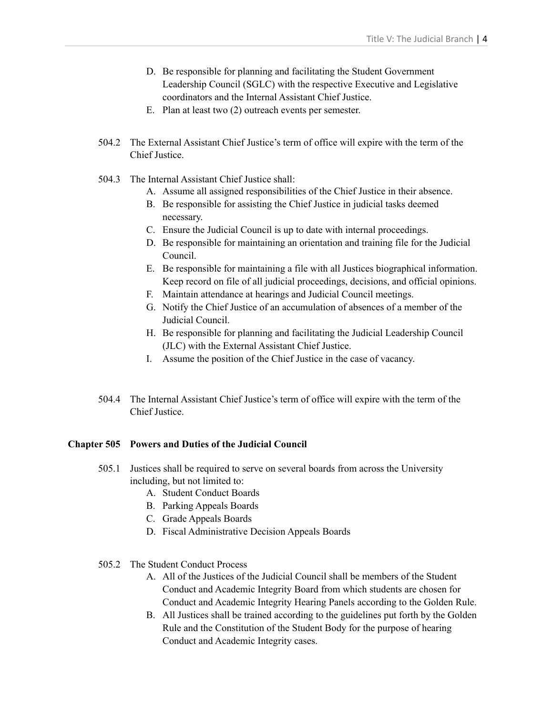- D. Be responsible for planning and facilitating the Student Government Leadership Council (SGLC) with the respective Executive and Legislative coordinators and the Internal Assistant Chief Justice.
- E. Plan at least two (2) outreach events per semester.
- 504.2 The External Assistant Chief Justice's term of office will expire with the term of the Chief Justice.
- 504.3 The Internal Assistant Chief Justice shall:
	- A. Assume all assigned responsibilities of the Chief Justice in their absence.
	- B. Be responsible for assisting the Chief Justice in judicial tasks deemed necessary.
	- C. Ensure the Judicial Council is up to date with internal proceedings.
	- D. Be responsible for maintaining an orientation and training file for the Judicial Council.
	- E. Be responsible for maintaining a file with all Justices biographical information. Keep record on file of all judicial proceedings, decisions, and official opinions.
	- F. Maintain attendance at hearings and Judicial Council meetings.
	- G. Notify the Chief Justice of an accumulation of absences of a member of the Judicial Council.
	- H. Be responsible for planning and facilitating the Judicial Leadership Council (JLC) with the External Assistant Chief Justice.
	- I. Assume the position of the Chief Justice in the case of vacancy.
- 504.4 The Internal Assistant Chief Justice's term of office will expire with the term of the Chief Justice.

#### **Chapter 505 Powers and Duties of the Judicial Council**

- 505.1 Justices shall be required to serve on several boards from across the University including, but not limited to:
	- A. Student Conduct Boards
	- B. Parking Appeals Boards
	- C. Grade Appeals Boards
	- D. Fiscal Administrative Decision Appeals Boards
- 505.2 The Student Conduct Process
	- A. All of the Justices of the Judicial Council shall be members of the Student Conduct and Academic Integrity Board from which students are chosen for Conduct and Academic Integrity Hearing Panels according to the Golden Rule.
	- B. All Justices shall be trained according to the guidelines put forth by the Golden Rule and the Constitution of the Student Body for the purpose of hearing Conduct and Academic Integrity cases.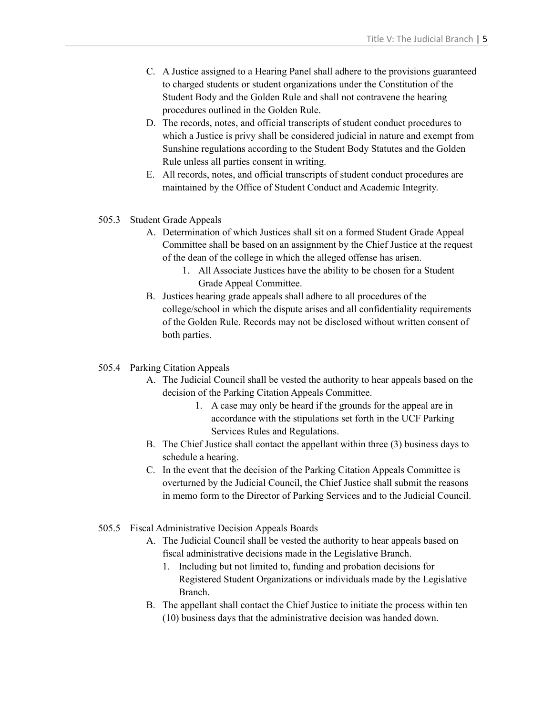- C. A Justice assigned to a Hearing Panel shall adhere to the provisions guaranteed to charged students or student organizations under the Constitution of the Student Body and the Golden Rule and shall not contravene the hearing procedures outlined in the Golden Rule.
- D. The records, notes, and official transcripts of student conduct procedures to which a Justice is privy shall be considered judicial in nature and exempt from Sunshine regulations according to the Student Body Statutes and the Golden Rule unless all parties consent in writing.
- E. All records, notes, and official transcripts of student conduct procedures are maintained by the Office of Student Conduct and Academic Integrity.
- 505.3 Student Grade Appeals
	- A. Determination of which Justices shall sit on a formed Student Grade Appeal Committee shall be based on an assignment by the Chief Justice at the request of the dean of the college in which the alleged offense has arisen.
		- 1. All Associate Justices have the ability to be chosen for a Student Grade Appeal Committee.
	- B. Justices hearing grade appeals shall adhere to all procedures of the college/school in which the dispute arises and all confidentiality requirements of the Golden Rule. Records may not be disclosed without written consent of both parties.

## 505.4 Parking Citation Appeals

- A. The Judicial Council shall be vested the authority to hear appeals based on the decision of the Parking Citation Appeals Committee.
	- 1. A case may only be heard if the grounds for the appeal are in accordance with the stipulations set forth in the UCF Parking Services Rules and Regulations.
- B. The Chief Justice shall contact the appellant within three (3) business days to schedule a hearing.
- C. In the event that the decision of the Parking Citation Appeals Committee is overturned by the Judicial Council, the Chief Justice shall submit the reasons in memo form to the Director of Parking Services and to the Judicial Council.
- 505.5 Fiscal Administrative Decision Appeals Boards
	- A. The Judicial Council shall be vested the authority to hear appeals based on fiscal administrative decisions made in the Legislative Branch.
		- 1. Including but not limited to, funding and probation decisions for Registered Student Organizations or individuals made by the Legislative Branch.
	- B. The appellant shall contact the Chief Justice to initiate the process within ten (10) business days that the administrative decision was handed down.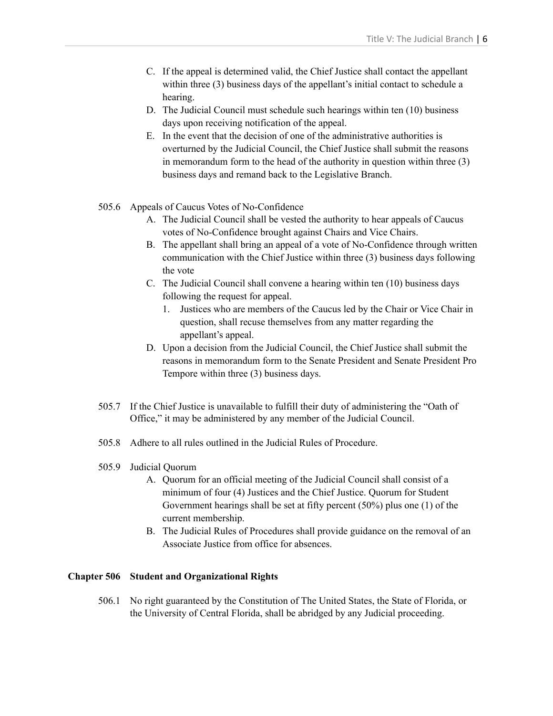- C. If the appeal is determined valid, the Chief Justice shall contact the appellant within three (3) business days of the appellant's initial contact to schedule a hearing.
- D. The Judicial Council must schedule such hearings within ten (10) business days upon receiving notification of the appeal.
- E. In the event that the decision of one of the administrative authorities is overturned by the Judicial Council, the Chief Justice shall submit the reasons in memorandum form to the head of the authority in question within three (3) business days and remand back to the Legislative Branch.
- 505.6 Appeals of Caucus Votes of No-Confidence
	- A. The Judicial Council shall be vested the authority to hear appeals of Caucus votes of No-Confidence brought against Chairs and Vice Chairs.
	- B. The appellant shall bring an appeal of a vote of No-Confidence through written communication with the Chief Justice within three (3) business days following the vote
	- C. The Judicial Council shall convene a hearing within ten (10) business days following the request for appeal.
		- 1. Justices who are members of the Caucus led by the Chair or Vice Chair in question, shall recuse themselves from any matter regarding the appellant's appeal.
	- D. Upon a decision from the Judicial Council, the Chief Justice shall submit the reasons in memorandum form to the Senate President and Senate President Pro Tempore within three (3) business days.
- 505.7 If the Chief Justice is unavailable to fulfill their duty of administering the "Oath of Office," it may be administered by any member of the Judicial Council.
- 505.8 Adhere to all rules outlined in the Judicial Rules of Procedure.
- 505.9 Judicial Quorum
	- A. Quorum for an official meeting of the Judicial Council shall consist of a minimum of four (4) Justices and the Chief Justice. Quorum for Student Government hearings shall be set at fifty percent (50%) plus one (1) of the current membership.
	- B. The Judicial Rules of Procedures shall provide guidance on the removal of an Associate Justice from office for absences.

# **Chapter 506 Student and Organizational Rights**

506.1 No right guaranteed by the Constitution of The United States, the State of Florida, or the University of Central Florida, shall be abridged by any Judicial proceeding.